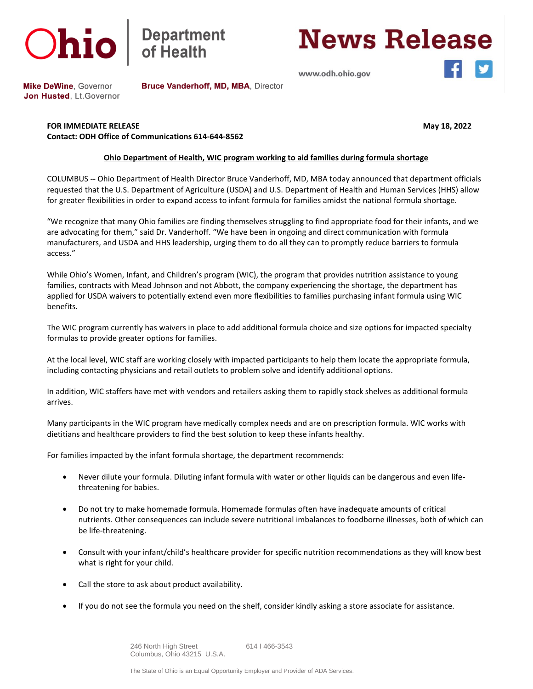



## **News Release**

www.odh.ohio.gov

**Mike DeWine, Governor** Jon Husted, Lt. Governor Bruce Vanderhoff, MD, MBA, Director

**FOR IMMEDIATE RELEASE May 18, 2022 Contact: ODH Office of Communications 614-644-8562**

## **Ohio Department of Health, WIC program working to aid families during formula shortage**

COLUMBUS -- Ohio Department of Health Director Bruce Vanderhoff, MD, MBA today announced that department officials requested that the U.S. Department of Agriculture (USDA) and U.S. Department of Health and Human Services (HHS) allow for greater flexibilities in order to expand access to infant formula for families amidst the national formula shortage.

"We recognize that many Ohio families are finding themselves struggling to find appropriate food for their infants, and we are advocating for them," said Dr. Vanderhoff. "We have been in ongoing and direct communication with formula manufacturers, and USDA and HHS leadership, urging them to do all they can to promptly reduce barriers to formula access."

While Ohio's Women, Infant, and Children's program (WIC), the program that provides nutrition assistance to young families, contracts with Mead Johnson and not Abbott, the company experiencing the shortage, the department has applied for USDA waivers to potentially extend even more flexibilities to families purchasing infant formula using WIC benefits.

The WIC program currently has waivers in place to add additional formula choice and size options for impacted specialty formulas to provide greater options for families.

At the local level, WIC staff are working closely with impacted participants to help them locate the appropriate formula, including contacting physicians and retail outlets to problem solve and identify additional options.     

In addition, WIC staffers have met with vendors and retailers asking them to rapidly stock shelves as additional formula arrives.

Many participants in the WIC program have medically complex needs and are on prescription formula. WIC works with dietitians and healthcare providers to find the best solution to keep these infants healthy.

For families impacted by the infant formula shortage, the department recommends:

- Never dilute your formula. Diluting infant formula with water or other liquids can be dangerous and even lifethreatening for babies.
- Do not try to make homemade formula. Homemade formulas often have inadequate amounts of critical nutrients. Other consequences can include severe nutritional imbalances to foodborne illnesses, both of which can be life-threatening.
- Consult with your infant/child's healthcare provider for specific nutrition recommendations as they will know best what is right for your child.
- Call the store to ask about product availability.
- If you do not see the formula you need on the shelf, consider kindly asking a store associate for assistance.

 246 North High Street 614 I 466-3543 Columbus, Ohio 43215 U.S.A.